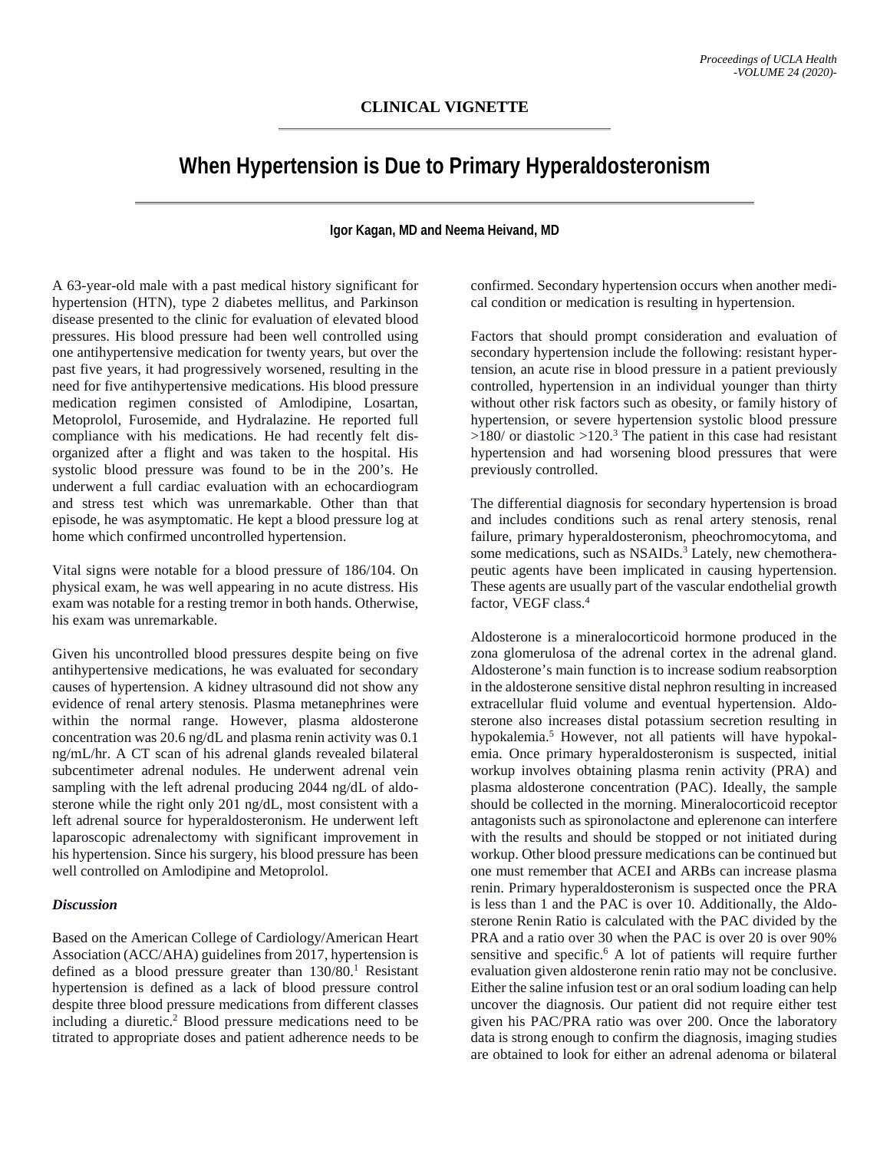## **When Hypertension is Due to Primary Hyperaldosteronism**

## **Igor Kagan, MD and Neema Heivand, MD**

A 63-year-old male with a past medical history significant for hypertension (HTN), type 2 diabetes mellitus, and Parkinson disease presented to the clinic for evaluation of elevated blood pressures. His blood pressure had been well controlled using one antihypertensive medication for twenty years, but over the past five years, it had progressively worsened, resulting in the need for five antihypertensive medications. His blood pressure medication regimen consisted of Amlodipine, Losartan, Metoprolol, Furosemide, and Hydralazine. He reported full compliance with his medications. He had recently felt disorganized after a flight and was taken to the hospital. His systolic blood pressure was found to be in the 200's. He underwent a full cardiac evaluation with an echocardiogram and stress test which was unremarkable. Other than that episode, he was asymptomatic. He kept a blood pressure log at home which confirmed uncontrolled hypertension.

Vital signs were notable for a blood pressure of 186/104. On physical exam, he was well appearing in no acute distress. His exam was notable for a resting tremor in both hands. Otherwise, his exam was unremarkable.

Given his uncontrolled blood pressures despite being on five antihypertensive medications, he was evaluated for secondary causes of hypertension. A kidney ultrasound did not show any evidence of renal artery stenosis. Plasma metanephrines were within the normal range. However, plasma aldosterone concentration was 20.6 ng/dL and plasma renin activity was 0.1 ng/mL/hr. A CT scan of his adrenal glands revealed bilateral subcentimeter adrenal nodules. He underwent adrenal vein sampling with the left adrenal producing 2044 ng/dL of aldosterone while the right only 201 ng/dL, most consistent with a left adrenal source for hyperaldosteronism. He underwent left laparoscopic adrenalectomy with significant improvement in his hypertension. Since his surgery, his blood pressure has been well controlled on Amlodipine and Metoprolol.

## *Discussion*

Based on the American College of Cardiology/American Heart Association (ACC/AHA) guidelines from 2017, hypertension is defined as a blood pressure greater than 130/80. <sup>1</sup> Resistant hypertension is defined as a lack of blood pressure control despite three blood pressure medications from different classes including a diuretic. <sup>2</sup> Blood pressure medications need to be titrated to appropriate doses and patient adherence needs to be

confirmed. Secondary hypertension occurs when another medical condition or medication is resulting in hypertension.

Factors that should prompt consideration and evaluation of secondary hypertension include the following: resistant hypertension, an acute rise in blood pressure in a patient previously controlled, hypertension in an individual younger than thirty without other risk factors such as obesity, or family history of hypertension, or severe hypertension systolic blood pressure  $>180/$  or diastolic  $>120.3$  The patient in this case had resistant hypertension and had worsening blood pressures that were previously controlled.

The differential diagnosis for secondary hypertension is broad and includes conditions such as renal artery stenosis, renal failure, primary hyperaldosteronism, pheochromocytoma, and some medications, such as NSAIDs.<sup>3</sup> Lately, new chemotherapeutic agents have been implicated in causing hypertension. These agents are usually part of the vascular endothelial growth factor, VEGF class. 4

Aldosterone is a mineralocorticoid hormone produced in the zona glomerulosa of the adrenal cortex in the adrenal gland. Aldosterone's main function is to increase sodium reabsorption in the aldosterone sensitive distal nephron resulting in increased extracellular fluid volume and eventual hypertension. Aldosterone also increases distal potassium secretion resulting in hypokalemia. <sup>5</sup> However, not all patients will have hypokalemia. Once primary hyperaldosteronism is suspected, initial workup involves obtaining plasma renin activity (PRA) and plasma aldosterone concentration (PAC). Ideally, the sample should be collected in the morning. Mineralocorticoid receptor antagonists such as spironolactone and eplerenone can interfere with the results and should be stopped or not initiated during workup. Other blood pressure medications can be continued but one must remember that ACEI and ARBs can increase plasma renin. Primary hyperaldosteronism is suspected once the PRA is less than 1 and the PAC is over 10. Additionally, the Aldosterone Renin Ratio is calculated with the PAC divided by the PRA and a ratio over 30 when the PAC is over 20 is over 90% sensitive and specific. <sup>6</sup> A lot of patients will require further evaluation given aldosterone renin ratio may not be conclusive. Either the saline infusion test or an oral sodium loading can help uncover the diagnosis. Our patient did not require either test given his PAC/PRA ratio was over 200. Once the laboratory data is strong enough to confirm the diagnosis, imaging studies are obtained to look for either an adrenal adenoma or bilateral